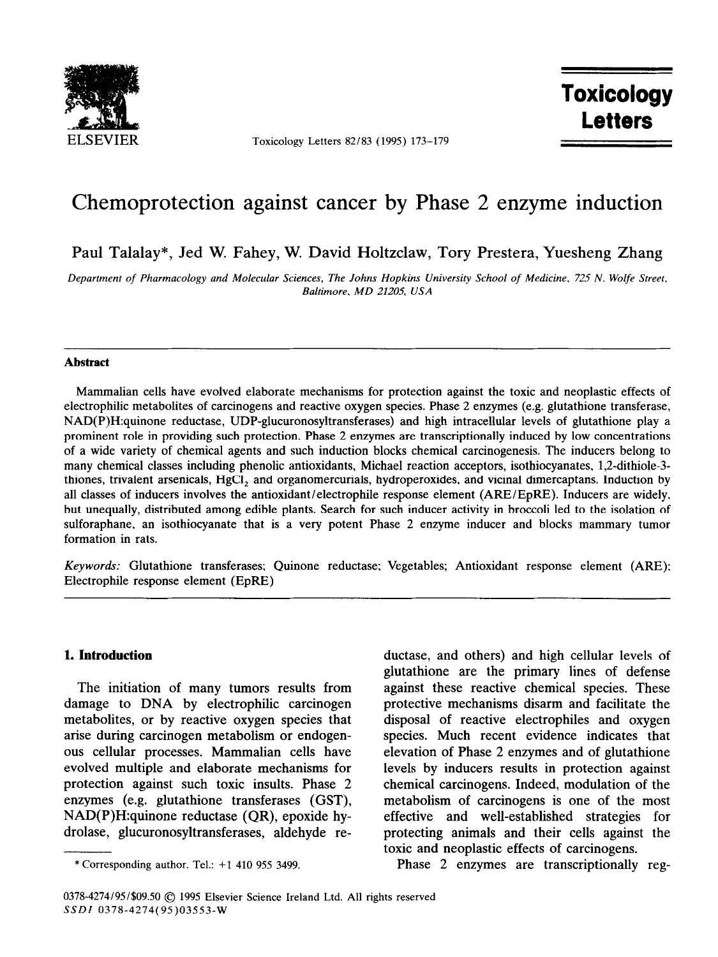

Toxicology Letters 82/83 (1995) 173-179

**Toxicology** Letters

# Chemoprotection against cancer by Phase 2 enzyme induction

Paul Talalay\*, Jed W. Fahey, W. David Holtzclaw, Tory Prestera, Yuesheng Zhang

*Department of Pharmacology and Molecular Sciences, The Johns Hopkins University School of Medicine. 725 N. Wolfe Street. Baltimore. MD 21205, USA* 

## **Abstract**

Mammalian cells have evolved elaborate mechanisms for protection against the toxic and neoplastic effects of electrophilic metabolites of carcinogens and reactive oxygen species. Phase 2 enzymes (e.g. glutathione transferase, NAD(P)H:quinone reductase, UDP-glucuronosyltransferases) and high intracellular levels of glutathione play a prominent role in providing such protection. Phase 2 enzymes are transcriptionally induced by low concentrations of a wide variety of chemical agents and such induction blocks chemical carcinogenesis. The inducers belong to many chemical classes including phenolic antioxidants, Michael reaction acceptors, isothiocyanates, 1,2-dithiole-3thiones, trivalent arsenicals, HgCl, and organomercurials, hydroperoxides, and vicinal dimercaptans. Induction by all classes of inducers involves the antioxidant/electrophile response element (ARE/EpRE). Inducers are widely, but unequally, distributed among edible plants. Search for such inducer activity in broccoli led to the isolation of sulforaphane, an isothiocyanate that is a very potent Phase 2 enzyme inducer and blocks mammary tumor formation in rats.

Keywords: Glutathione transferases; Quinone reductase; Vegetables; Antioxidant response element (ARE): Electrophile response element (EpRE)

## **1. Introduction**

The initiation of many tumors results from damage to DNA by electrophilic carcinogen metabolites, or by reactive oxygen species that arise during carcinogen metabolism or endogenous cellular processes. Mammalian cells have evolved multiple and elaborate mechanisms for protection against such toxic insults. Phase 2 enzymes (e.g. glutathione transferases (GST), NAD(P)H:quinone reductase (QR), epoxide hydrolase, glucuronosyltransferases, aldehyde reductase, and others) and high cellular levels of glutathione are the primary lines of defense against these reactive chemical species. These protective mechanisms disarm and facilitate the disposal of reactive electrophiles and oxygen species. Much recent evidence indicates that elevation of Phase 2 enzymes and of glutathione levels by inducers results in protection against chemical carcinogens. Indeed, modulation of the metabolism of carcinogens is one of the most effective and well-established strategies for protecting animals and their cells against the toxic and neoplastic effects of carcinogens.

Phase 2 enzymes are transcriptionally reg-

<sup>\*</sup> Corresponding author. Tel.: +I 410 955 3499.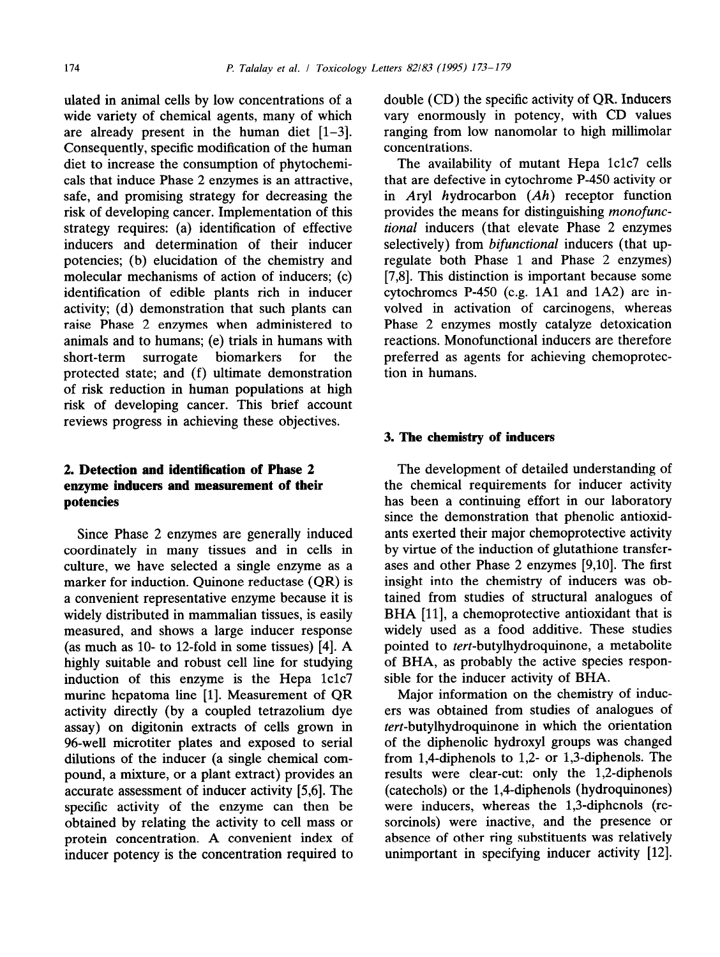ulated in animal cells by low concentrations of a wide variety of chemical agents, many of which are already present in the human diet  $[1-3]$ . Consequently, specific modification of the human diet to increase the consumption of phytochemicals that induce Phase 2 enzymes is an attractive, safe, and promising strategy for decreasing the risk of developing cancer. Implementation of this strategy requires: (a) identification of effective inducers and determination of their inducer potencies; (b) elucidation of the chemistry and molecular mechanisms of action of inducers; (c) identification of edible plants rich in inducer activity; (d) demonstration that such plants can raise Phase 2 enzymes when administered to animals and to humans; (e) trials in humans with short-term surrogate biomarkers for the protected state; and (f) ultimate demonstration of risk reduction in human populations at high risk of developing cancer. This brief account reviews progress in achieving these objectives.

## 2. **Detection and identification of Phase 2 enzyme inducers and measurement of their potencies**

Since Phase 2 enzymes are generally induced coordinately in many tissues and in cells in culture, we have selected a single enzyme as a marker for induction. Quinone reductase (QR) is a convenient representative enzyme because it is widely distributed in mammalian tissues, is easily measured, and shows a large inducer response (as much as  $10-$  to  $12$ -fold in some tissues) [4]. A highly suitable and robust cell line for studying induction of this enzyme is the Hepa lclc7 murine hepatoma line [l]. Measurement of QR activity directly (by a coupled tetrazolium dye assay) on digitonin extracts of cells grown in 96-well microtiter plates and exposed to serial dilutions of the inducer (a single chemical compound, a mixture, or a plant extract) provides an accurate assessment of inducer activity [5,6]. The specific activity of the enzyme can then be obtained by relating the activity to cell mass or protein concentration. A convenient index of inducer potency is the concentration required to

double (CD) the specific activity of QR. Inducers vary enormously in potency, with CD values ranging from low nanomolar to high millimolar concentrations.

The availability of mutant Hepa lclc7 cells that are defective in cytochrome P-450 activity or in Aryl hydrocarbon *(Ah)* receptor function provides the means for distinguishing monofunc*tional* inducers (that elevate Phase 2 enzymes selectively) from *bifunctional* inducers (that upregulate both Phase 1 and Phase 2 enzymes) [7,8]. This distinction is important because some cytochromes P-450 (e.g. 1Al and lA2) are involved in activation of carcinogens, whereas Phase 2 enzymes mostly catalyze detoxication reactions. Monofunctional inducers are therefore preferred as agents for achieving chemoprotection in humans.

## **3. The chemistry of inducers**

The development of detailed understanding of the chemical requirements for inducer activity has been a continuing effort in our laboratory since the demonstration that phenolic antioxidants exerted their major chemoprotective activity by virtue of the induction of glutathione transferases and other Phase 2 enzymes [9,10]. The first insight into the chemistry of inducers was obtained from studies of structural analogues of BHA [11], a chemoprotective antioxidant that is widely used as a food additive. These studies pointed to tert-butylhydroquinone, a metabolite of BHA, as probably the active species responsible for the inducer activity of BHA.

Major information on the chemistry of inducers was obtained from studies of analogues of tert-butylhydroquinone in which the orientation of the diphenolic hydroxyl groups was changed from 1,4-diphenols to 1,2- or 1,3-diphenols. The results were clear-cut: only the 1,2-diphenols (catechols) or the 1,4-diphenols (hydroquinones) were inducers, whereas the 1,3-diphenols (resorcinols) were inactive, and the presence or absence of other ring substituents was relatively unimportant in specifying inducer activity [12].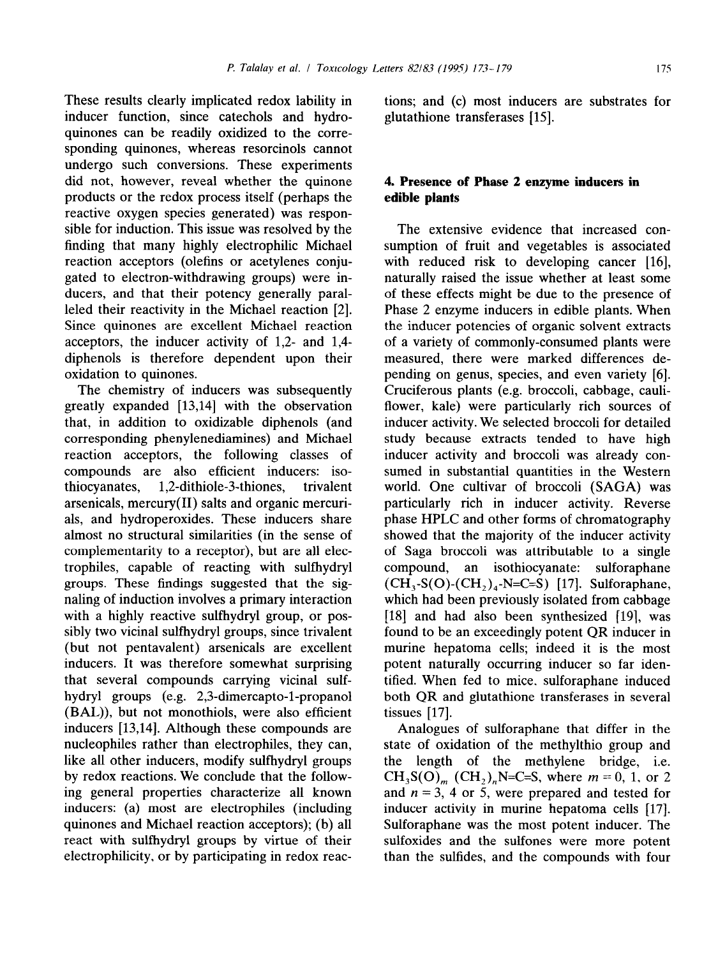These results clearly implicated redox lability in inducer function, since catechols and hydroquinones can be readily oxidized to the corresponding quinones, whereas resorcinols cannot undergo such conversions. These experiments did not, however, reveal whether the quinone products or the redox process itself (perhaps the reactive oxygen species generated) was responsible for induction. This issue was resolved by the finding that many highly electrophilic Michael reaction acceptors (olefins or acetylenes conjugated to electron-withdrawing groups) were inducers, and that their potency generally paralleled their reactivity in the Michael reaction [2]. Since quinones are excellent Michael reaction acceptors, the inducer activity of 1,2- and 1,4 diphenols is therefore dependent upon their oxidation to quinones.

The chemistry of inducers was subsequently greatly expanded [13,14] with the observation that, in addition to oxidizable diphenols (and corresponding phenylenediamines) and Michael reaction acceptors, the following classes of compounds are also efficient inducers: isothiocyanates, 1,2-dithiole-3-thiones, trivalent arsenicals, mercury(I1) salts and organic mercurials, and hydroperoxides. These inducers share almost no structural similarities (in the sense of complementarity to a receptor), but are all electrophiles, capable of reacting with sulfhydryl groups. These findings suggested that the signaling of induction involves a primary interaction with a highly reactive sulfhydryl group, or possibly two vicinal sulfhydryl groups, since trivalent (but not pentavalent) arsenicals are excellent inducers. It was therefore somewhat surprising that several compounds carrying vicinal sulfhydryl groups (e.g. 2,3-dimercapto-1-propanol (BAL)), but not monothiols, were also efficient inducers [13,14]. Although these compounds are nucleophiles rather than electrophiles, they can, like all other inducers, modify sulfhydryl groups by redox reactions. We conclude that the following general properties characterize all known inducers: (a) most are electrophiles (including quinones and Michael reaction acceptors); (b) all react with sulfhydryl groups by virtue of their electrophilicity, or by participating in redox reactions; and (c) most inducers are substrates for glutathione transferases [15].

## **4. Presence of Phase 2 enzyme inducers in edible plants**

The extensive evidence that increased consumption of fruit and vegetables is associated with reduced risk to developing cancer [16], naturally raised the issue whether at least some of these effects might be due to the presence of Phase 2 enzyme inducers in edible plants. When the inducer potencies of organic solvent extracts of a variety of commonly-consumed plants were measured, there were marked differences depending on genus, species, and even variety [6]. Cruciferous plants (e.g. broccoli, cabbage, cauliflower, kale) were particularly rich sources of inducer activity. We selected broccoli for detailed study because extracts tended to have high inducer activity and broccoli was already consumed in substantial quantities in the Western world. One cultivar of broccoli (SAGA) was particularly rich in inducer activity. Reverse phase HPLC and other forms of chromatography showed that the majority of the inducer activity of Saga broccoli was attributable to a single compound, an isothiocyanate: sulforaphane  $(CH_3-S(O)-(CH_2)_4-N=C=S)$  [17]. Sulforaphane, which had been previously isolated from cabbage  $[18]$  and had also been synthesized  $[19]$ , was found to be an exceedingly potent QR inducer in murine hepatoma cells; indeed it is the most potent naturally occurring inducer so far identified. When fed to mice. sulforaphane induced both QR and glutathione transferases in several tissues [17].

Analogues of sulforaphane that differ in the state of oxidation of the methylthio group and the length of the methylene bridge, i.e.  $CH_3S(O)$ <sub>m</sub> (CH<sub>2</sub>)<sub>n</sub>N=C=S, where  $m = 0, 1$ , or 2 and  $n = 3$ , 4 or 5, were prepared and tested for inducer activity in murine hepatoma cells [17]. Sulforaphane was the most potent inducer. The sulfoxides and the sulfones were more potent than the sulfides, and the compounds with four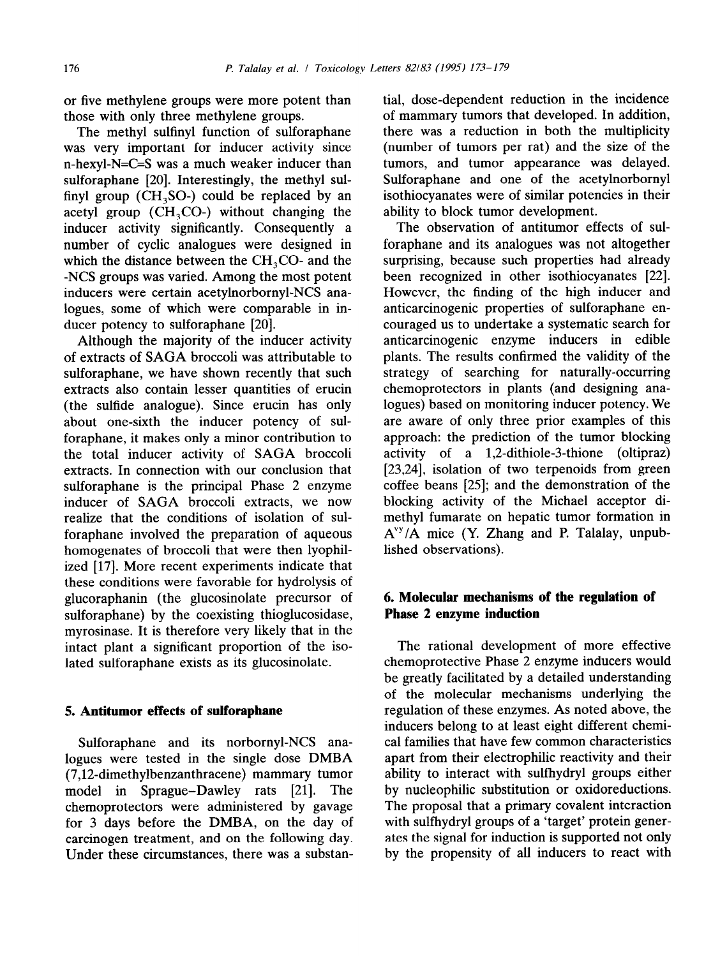or five methylene groups were more potent than those with only three methylene groups.

The methyl sulfinyl function of sulforaphane was very important for inducer activity since n-hexyl-N=C=S was a much weaker inducer than sulforaphane [20]. Interestingly, the methyl sulfinyl group ( $CH<sub>3</sub>SO<sub>-</sub>$ ) could be replaced by an acetyl group  $(CH<sub>3</sub>CO<sub>-</sub>)$  without changing the inducer activity significantly. Consequently a number of cyclic analogues were designed in which the distance between the  $CH<sub>3</sub>CO<sub>z</sub>$  and the -NCS groups was varied. Among the most potent inducers were certain acetylnorbornyl-NCS analogues, some of which were comparable in inducer potency to sulforaphane [20].

Although the majority of the inducer activity of extracts of SAGA broccoli was attributable to sulforaphane, we have shown recently that such extracts also contain lesser quantities of erucin (the sulfide analogue). Since erucin has only about one-sixth the inducer potency of sulforaphane, it makes only a minor contribution to the total inducer activity of SAGA broccoli extracts. In connection with our conclusion that sulforaphane is the principal Phase 2 enzyme inducer of SAGA broccoli extracts, we now realize that the conditions of isolation of sulforaphane involved the preparation of aqueous homogenates of broccoli that were then lyophilized [17]. More recent experiments indicate that these conditions were favorable for hydrolysis of glucoraphanin (the glucosinolate precursor of sulforaphane) by the coexisting thioglucosidase, myrosinase. It is therefore very likely that in the intact plant a significant proportion of the isolated sulforaphane exists as its glucosinolate.

#### 5. **Antitumor effects of sulforaphane**

Sulforaphane and its norbornyl-NCS analogues were tested in the single dose DMBA (7,12\_dimethylbenzanthracene) mammary tumor model in Sprague-Dawley rats [21]. The chemoprotectors were administered by gavage for 3 days before the DMBA, on the day of carcinogen treatment, and on the following day. Under these circumstances, there was a substantial, dose-dependent reduction in the incidence of mammary tumors that developed. In addition, there was a reduction in both the multiplicity (number of tumors per rat) and the size of the tumors, and tumor appearance was delayed. Sulforaphane and one of the acetylnorbornyl isothiocyanates were of similar potencies in their ability to block tumor development.

The observation of antitumor effects of sulforaphane and its analogues was not altogether surprising, because such properties had already been recognized in other isothiocyanates [22]. However, the finding of the high inducer and anticarcinogenic properties of sulforaphane encouraged us to undertake a systematic search for anticarcinogenic enzyme inducers in edible plants. The results confirmed the validity of the strategy of searching for naturally-occurring chemoprotectors in plants (and designing analogues) based on monitoring inducer potency. We are aware of only three prior examples of this approach: the prediction of the tumor blocking activity of a 1,2-dithiole-3-thione (oltipraz) [23,24], isolation of two terpenoids from green coffee beans [25]; and the demonstration of the blocking activity of the Michael acceptor dimethyl fumarate on hepatic tumor formation in  $A^{vy}/A$  mice (Y. Zhang and P. Talalay, unpublished observations).

# 6. **Molecular mechanisms of the regulation of Phase 2 enzyme induction**

The rational development of more effective chemoprotective Phase 2 enzyme inducers would be greatly facilitated by a detailed understanding of the molecular mechanisms underlying the regulation of these enzymes. As noted above, the inducers belong to at least eight different chemical families that have few common characteristics apart from their electrophilic reactivity and their ability to interact with sulfhydryl groups either by nucleophilic substitution or oxidoreductions. The proposal that a primary covalent interaction with sulfhydryl groups of a 'target' protein generates the signal for induction is supported not only by the propensity of all inducers to react with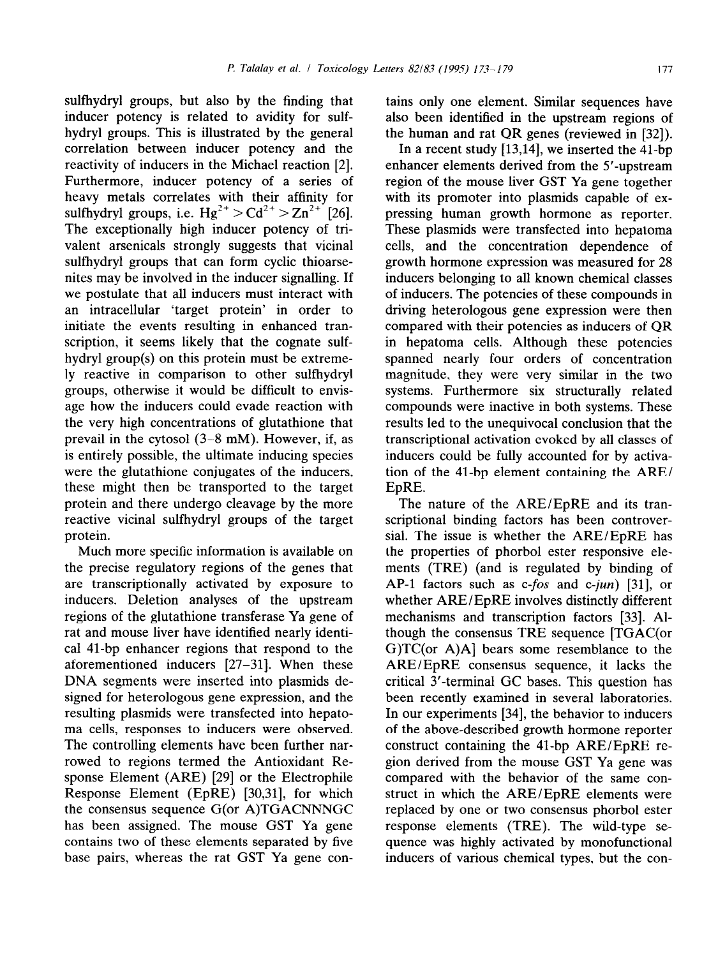sulfhydryl groups, but also by the finding that inducer potency is related to avidity for sulfhydryl groups. This is illustrated by the general correlation between inducer potency and the reactivity of inducers in the Michael reaction [2]. Furthermore, inducer potency of a series of heavy metals correlates with their affinity for sulfhydryl groups, i.e.  $Hg^{2+} > Cd^{2+} > Zn^{2+}$  [26]. The exceptionally high inducer potency of trivalent arsenicals strongly suggests that vicinal sulfhydryl groups that can form cyclic thioarsenites may be involved in the inducer signalling. If we postulate that all inducers must interact with an intracellular 'target protein' in order to initiate the events resulting in enhanced transcription, it seems likely that the cognate sulfhydryl group(s) on this protein must be extremely reactive in comparison to other sulfhydryl groups, otherwise it would be difficult to envisage how the inducers could evade reaction with the very high concentrations of glutathione that prevail in the cytosol (3-8 mM). However, if, as is entirely possible, the ultimate inducing species were the glutathione conjugates of the inducers, these might then be transported to the target protein and there undergo cleavage by the more reactive vicinal sulfhydryl groups of the target protein.

Much more specific information is available on the precise regulatory regions of the genes that are transcriptionally activated by exposure to inducers. Deletion analyses of the upstream regions of the glutathione transferase Ya gene of rat and mouse liver have identified nearly identical 41-bp enhancer regions that respond to the aforementioned inducers [27-311. When these DNA segments were inserted into plasmids designed for heterologous gene expression, and the resulting plasmids were transfected into hepatoma cells, responses to inducers were observed. The controlling elements have been further narrowed to regions termed the Antioxidant Response Element (ARE) [29] or the Electrophile Response Element (EpRE) [30,31], for which the consensus sequence G(or A)TGACNNNGC has been assigned. The mouse GST Ya gene contains two of these elements separated by five base pairs, whereas the rat GST Ya gene contains only one element. Similar sequences have also been identified in the upstream regions of the human and rat QR genes (reviewed in [32]).

In a recent study [13,14], we inserted the 41-bp enhancer elements derived from the 5'-upstream region of the mouse liver GST Ya gene together with its promoter into plasmids capable of expressing human growth hormone as reporter. These plasmids were transfected into hepatoma cells, and the concentration dependence of growth hormone expression was measured for 28 inducers belonging to all known chemical classes of inducers. The potencies of these compounds in driving heterologous gene expression were then compared with their potencies as inducers of QR in hepatoma cells. Although these potencies spanned nearly four orders of concentration magnitude, they were very similar in the two systems. Furthermore six structurally related compounds were inactive in both systems. These results led to the unequivocal conclusion that the transcriptional activation evoked by all classes of inducers could be fully accounted for by activation of the 41-bp element containing the ARE/ EpRE.

The nature of the ARE/EpRE and its transcriptional binding factors has been controversial. The issue is whether the ARE/EpRE has the properties of phorbol ester responsive elements (TRE) (and is regulated by binding of AP-1 factors such as  $c$ -*fos* and  $c$ -*jun*) [31], or whether ARE/EpRE involves distinctly different mechanisms and transcription factors [33]. Although the consensus TRE sequence [TGAC(or G)TC(or A)A] bears some resemblance to the ARE/EpRE consensus sequence, it lacks the critical 3'-terminal GC bases. This question has been recently examined in several laboratories. In our experiments [34], the behavior to inducers of the above-described growth hormone reporter construct containing the 41-bp ARE/EpRE region derived from the mouse GST Ya gene was compared with the behavior of the same construct in which the ARE/EpRE elements were replaced by one or two consensus phorbol ester response elements (TRE). The wild-type sequence was highly activated by monofunctional inducers of various chemical types, but the con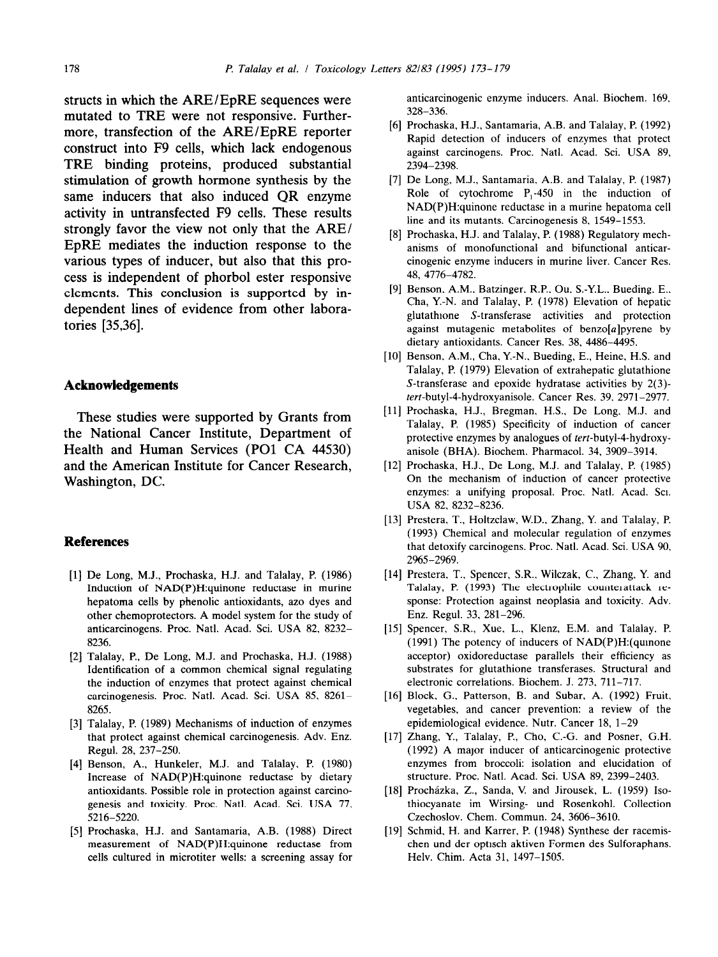structs in which the ARE/EpRE sequences were mutated to TRE were not responsive. Furthermore, transfection of the ARE/EpRE reporter construct into F9 cells, which lack endogenous TRE binding proteins, produced substantial stimulation of growth hormone synthesis by the same inducers that also induced QR enzyme activity in untransfected F9 cells. These results strongly favor the view not only that the ARE/ EpRE mediates the induction response to the various types of inducer, but also that this process is independent of phorbol ester responsive elements. This conclusion is supported by independent lines of evidence from other laboratories [35,36].

## **Acknowledgements**

These studies were supported by Grants from the National Cancer Institute, Department of Health and Human Services (PO1 CA 44530) and the American Institute for Cancer Research, Washington, DC.

## **References**

- [1] De Long, M.J., Prochaska, H.J. and Talalay, P. (1986) Induction of NAD(P)H:quinone reductase in murine hepatoma cells by phenolic antioxidants, azo dyes and other chemoprotectors. A model system for the study of anticarcinogens. Proc. Natl. Acad. Sci. USA 82, 8232- 8236.
- [2] Talalay, P., De Long, M.J. and Prochaska, H.J. (1988) Identification of a common chemical signal regulating the induction of enzymes that protect against chemical carcinogenesis. Proc. Nat]. Acad. Sci. USA 85. 8261- 8265.
- *[31*  Talalay, P. (1989) Mechanisms of induction of enzymes that protect against chemical carcinogenesis. Adv. Enz. Regul. 28, 237-250.
- 141 Benson, A., Hunkeler, M.J. and Talalay, P. (1980) Increase of NAD(P)H:quinone reductase by dietary antioxidants. Possible role in protection against carcinogenesis and toxicity. Proc. Nat]. Acad. Sci. USA 77. 5216-5220.
- [51 Prochaska, H.J. and Santamaria, A.B. (1988) Direct measurement of NAD(P)H:quinone reductase from cells cultured in microtiter wells: a screening assay for

anticarcinogenic enzyme inducers. Anal. Biochem. 169. 328-336.

- 161 Prochaska, H.J., Santamaria, A.B. and Talalay, P. (1992) Rapid detection of inducers of enzymes that protect against carcinogens. Proc. Natl. Acad. Sci. USA 89, 2394-2398.
- [71 De Long, M.J., Santamaria, A.B. and Talalay, P. (1987) Role of cytochrome  $P_1-450$  in the induction of NAD(P)H:quinone reductase in a murine hepatoma cell line and its mutants. Carcinogenesis 8, 1549-1553.
- [8] Prochaska, H.J. and Talalay, P. (1988) Regulatory mech anisms of monofunctional and bifunctional anticarcinogenic enzyme inducers in murine liver. Cancer Res. 48, 4776-4782.
- [91 Benson, A.M., Batzinger. R.P., Ou, S-Y.L.. Bueding, E., Cha, Y.-N. and Talalay. P. (1978) Elevation of hepatic glutathione S-transferase activities and protection against mutagenic metabolites of benzo $[a]$ pyrene by dietary antioxidants. Cancer Res. 38, 4486-4495.
- [10] Benson, A.M., Cha, Y.-N., Bueding, E., Heine, H.S. and Talalay, P. (1979) Elevation of extrahepatic glutathione S-transferase and epoxide hydratase activities by 2(3) tert-butyl-4-hydroxyanisole. Cancer Res. 39. 2971-2977.
- [11] Prochaska, H.J., Bregman, H.S., De Long, M.J. and Talalay, P. (1985) Specificity of induction of cancer protective enzymes by analogues of tert-butyl-4-hydroxyanisole (BHA). Biochem. Pharmacol. 34, 3909-3914.
- 1121 Prochaska, H.J., De Long, M.J. and Talalay, P. (1985) On the mechanism of induction of cancer protective enzymes: a unifying proposal. Proc. Natl. Acad. Sci. USA 82, 8232-8236.
- [13] Prestera, T., Holtzclaw, W.D., Zhang, Y. and Talalay, P. (1993) Chemical and molecular regulation of enzymes that detoxify carcinogens. Proc. Natl. Acad. Sci. USA 90, 2%5-2969.
- [14] Prestera, T., Spencer, S.R., Wilczak, C., Zhang, Y. and Talalay, P. (1993) The electrophile counterattack response: Protection against neoplasia and toxicity. Adv. Enz. Regul. 33. 281-296.
- [I51 Spencer, S.R., Xue, L., Klenz, E.M. and Talalay. P. (1991) The potency of inducers of NAD(P)H:(qumone acceptor) oxidoreductase parallels their efficiency as substrates for glutathione transferases. Structural and electronic correlations. Biochem. J. 273, 711-717.
- [16] Block, G., Patterson, B. and Subar, A. (1992) Frui vegetables, and cancer prevention: a review of the epidemiological evidence. Nutr. Cancer 18, 1-29
- 1171 Zhang, Y., Talalay, P., Cho, C.-G. and Posner, G.H. (1992) A major inducer of anticarcinogenic protective enzymes from broccoli: isolation and elucidation of structure. Proc. Natl. Acad. Sci. USA 89, 2399-2403.
- [18] Procházka, Z., Sanda, V. and Jirousek, L. (1959) Iso thiocyanate im Wirsing- und Rosenkohl. Collection Czechoslov. Chem. Commun. 24. 3606-3610.
- [19] Schmid, H. and Karrer, P. (1948) Synthese der racemi chen und der optisch aktiven Formen des Sulforaphans. Helv. Chim. Acta 31, 1497-1505.